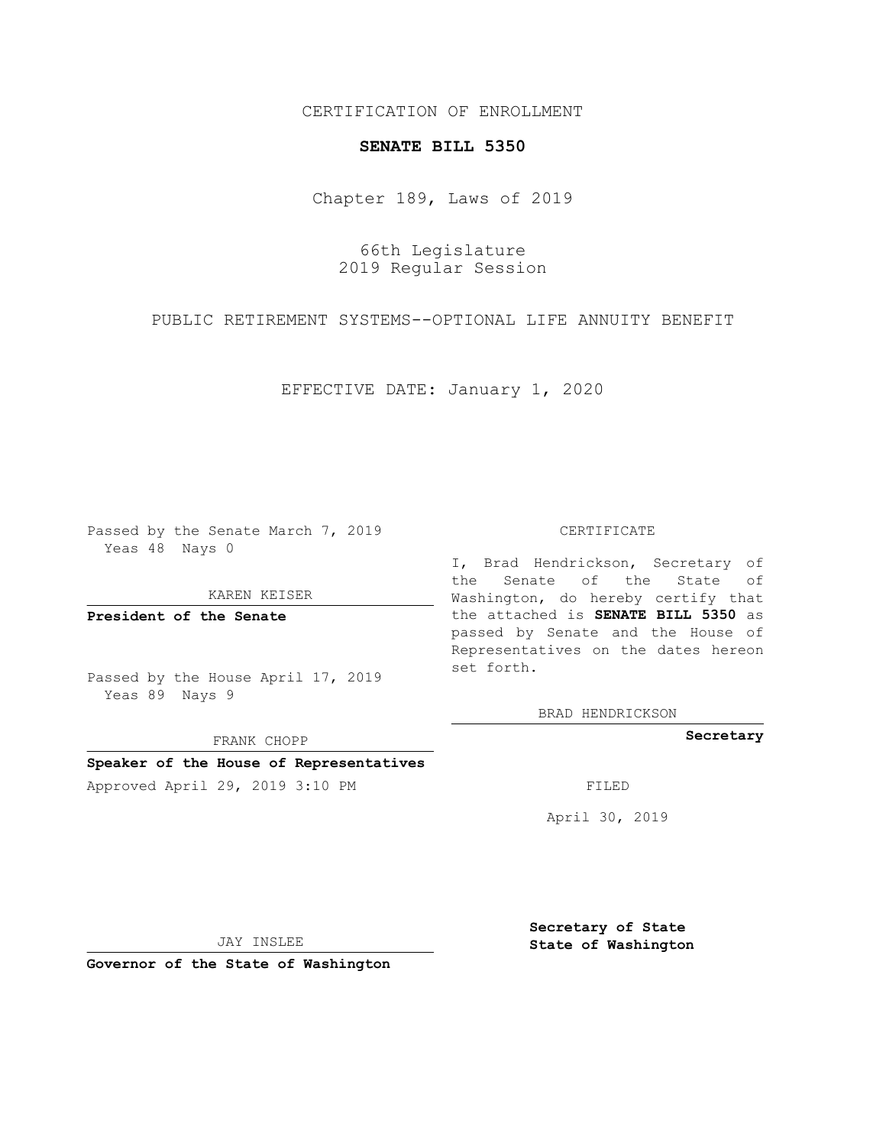CERTIFICATION OF ENROLLMENT

## **SENATE BILL 5350**

Chapter 189, Laws of 2019

66th Legislature 2019 Regular Session

PUBLIC RETIREMENT SYSTEMS--OPTIONAL LIFE ANNUITY BENEFIT

EFFECTIVE DATE: January 1, 2020

Passed by the Senate March 7, 2019 Yeas 48 Nays 0

KAREN KEISER

**President of the Senate**

Passed by the House April 17, 2019 Yeas 89 Nays 9

FRANK CHOPP

## **Speaker of the House of Representatives**

Approved April 29, 2019 3:10 PM FILED

## CERTIFICATE

I, Brad Hendrickson, Secretary of the Senate of the State of Washington, do hereby certify that the attached is **SENATE BILL 5350** as passed by Senate and the House of Representatives on the dates hereon set forth.

BRAD HENDRICKSON

**Secretary**

April 30, 2019

JAY INSLEE

**Governor of the State of Washington**

**Secretary of State State of Washington**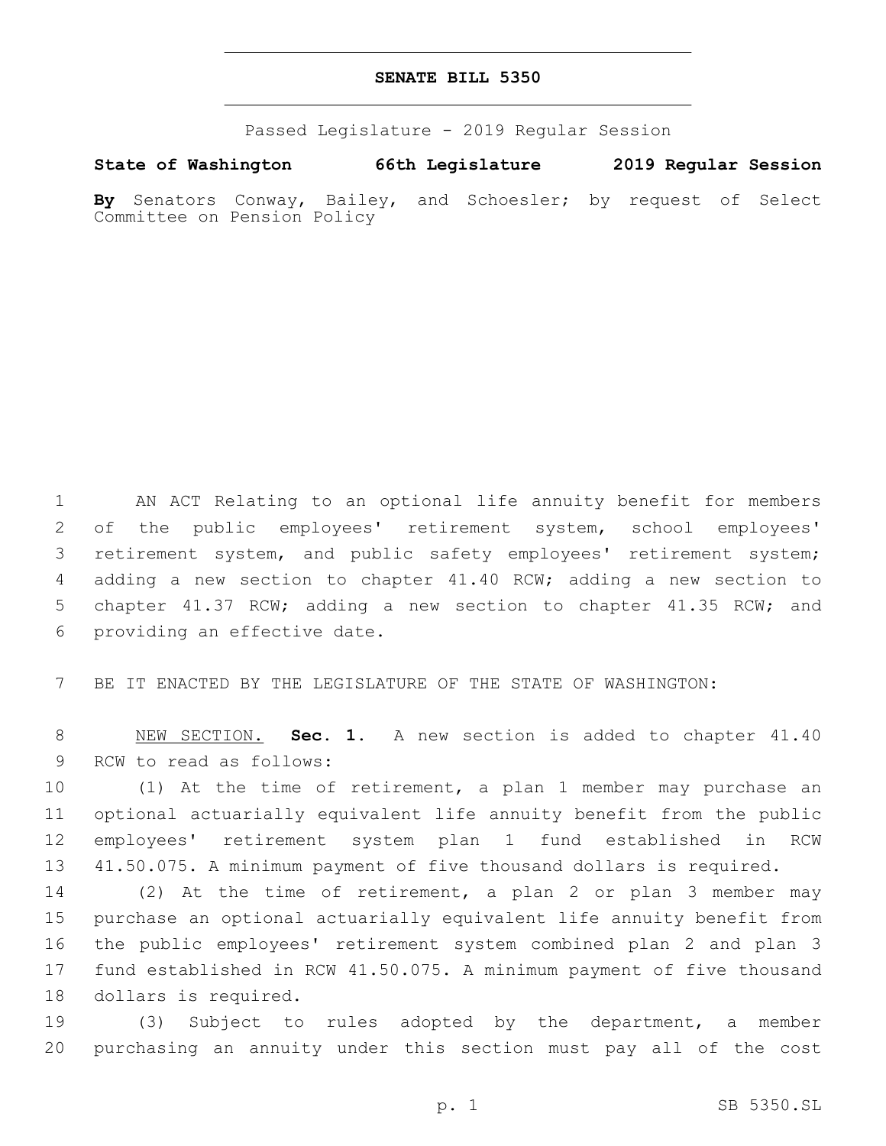## **SENATE BILL 5350**

Passed Legislature - 2019 Regular Session

**State of Washington 66th Legislature 2019 Regular Session By** Senators Conway, Bailey, and Schoesler; by request of Select Committee on Pension Policy

1 AN ACT Relating to an optional life annuity benefit for members 2 of the public employees' retirement system, school employees' 3 retirement system, and public safety employees' retirement system; 4 adding a new section to chapter 41.40 RCW; adding a new section to 5 chapter 41.37 RCW; adding a new section to chapter 41.35 RCW; and 6 providing an effective date.

7 BE IT ENACTED BY THE LEGISLATURE OF THE STATE OF WASHINGTON:

8 NEW SECTION. **Sec. 1.** A new section is added to chapter 41.40 9 RCW to read as follows:

 (1) At the time of retirement, a plan 1 member may purchase an optional actuarially equivalent life annuity benefit from the public employees' retirement system plan 1 fund established in RCW 41.50.075. A minimum payment of five thousand dollars is required.

 (2) At the time of retirement, a plan 2 or plan 3 member may purchase an optional actuarially equivalent life annuity benefit from the public employees' retirement system combined plan 2 and plan 3 fund established in RCW 41.50.075. A minimum payment of five thousand 18 dollars is required.

19 (3) Subject to rules adopted by the department, a member 20 purchasing an annuity under this section must pay all of the cost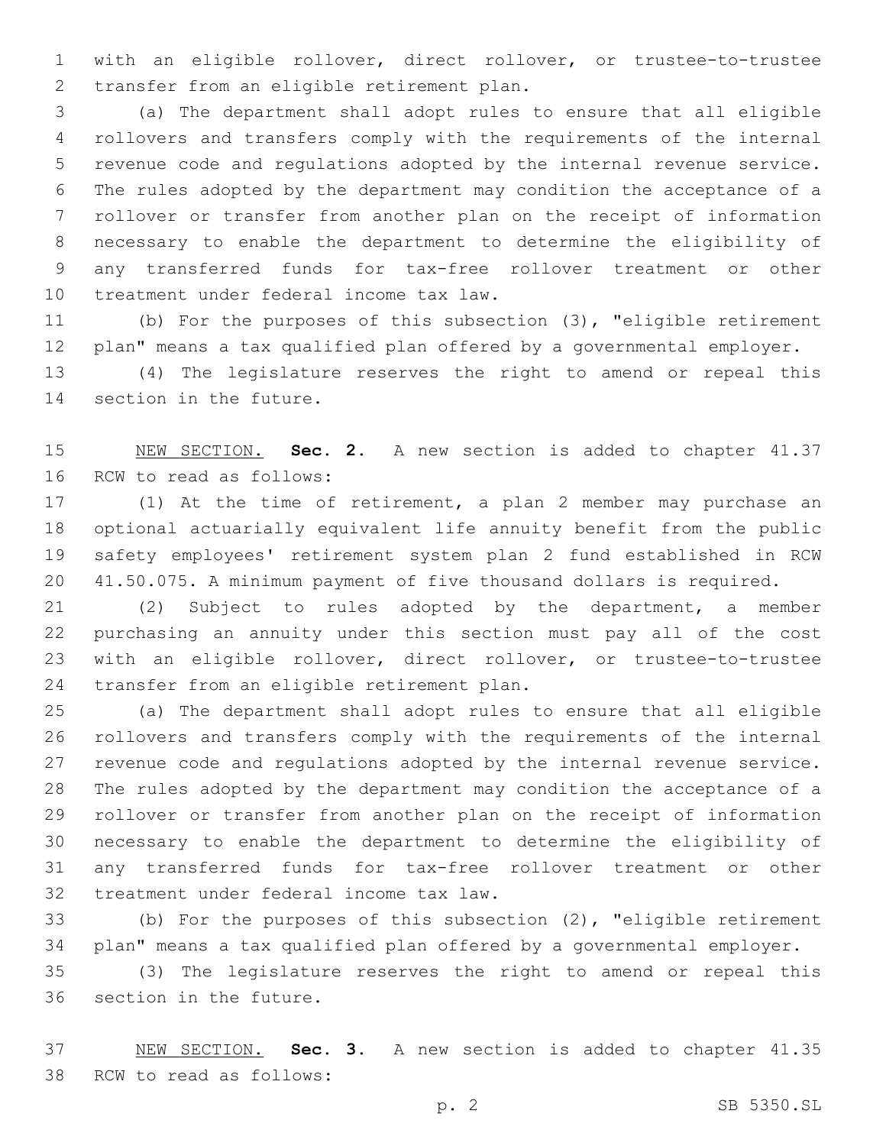with an eligible rollover, direct rollover, or trustee-to-trustee 2 transfer from an eligible retirement plan.

 (a) The department shall adopt rules to ensure that all eligible rollovers and transfers comply with the requirements of the internal revenue code and regulations adopted by the internal revenue service. The rules adopted by the department may condition the acceptance of a rollover or transfer from another plan on the receipt of information necessary to enable the department to determine the eligibility of any transferred funds for tax-free rollover treatment or other 10 treatment under federal income tax law.

 (b) For the purposes of this subsection (3), "eligible retirement plan" means a tax qualified plan offered by a governmental employer.

 (4) The legislature reserves the right to amend or repeal this 14 section in the future.

 NEW SECTION. **Sec. 2.** A new section is added to chapter 41.37 16 RCW to read as follows:

 (1) At the time of retirement, a plan 2 member may purchase an optional actuarially equivalent life annuity benefit from the public safety employees' retirement system plan 2 fund established in RCW 41.50.075. A minimum payment of five thousand dollars is required.

 (2) Subject to rules adopted by the department, a member purchasing an annuity under this section must pay all of the cost with an eligible rollover, direct rollover, or trustee-to-trustee 24 transfer from an eligible retirement plan.

 (a) The department shall adopt rules to ensure that all eligible rollovers and transfers comply with the requirements of the internal revenue code and regulations adopted by the internal revenue service. The rules adopted by the department may condition the acceptance of a rollover or transfer from another plan on the receipt of information necessary to enable the department to determine the eligibility of any transferred funds for tax-free rollover treatment or other 32 treatment under federal income tax law.

 (b) For the purposes of this subsection (2), "eligible retirement plan" means a tax qualified plan offered by a governmental employer.

 (3) The legislature reserves the right to amend or repeal this 36 section in the future.

 NEW SECTION. **Sec. 3.** A new section is added to chapter 41.35 38 RCW to read as follows: